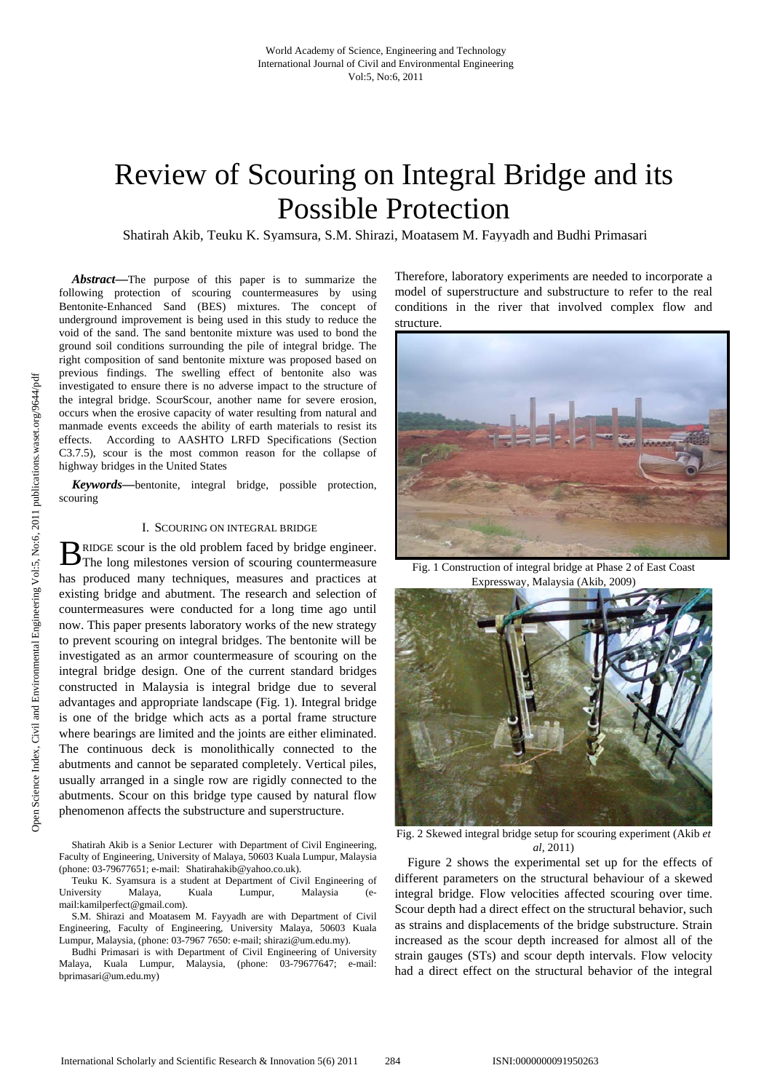# Review of Scouring on Integral Bridge and its Possible Protection

Shatirah Akib, Teuku K. Syamsura, S.M. Shirazi, Moatasem M. Fayyadh and Budhi Primasari

*Abstract***—**The purpose of this paper is to summarize the following protection of scouring countermeasures by using Bentonite-Enhanced Sand (BES) mixtures. The concept of underground improvement is being used in this study to reduce the void of the sand. The sand bentonite mixture was used to bond the ground soil conditions surrounding the pile of integral bridge. The right composition of sand bentonite mixture was proposed based on previous findings. The swelling effect of bentonite also was investigated to ensure there is no adverse impact to the structure of the integral bridge. ScourScour, another name for severe erosion, occurs when the erosive capacity of water resulting from natural and manmade events exceeds the ability of earth materials to resist its effects. According to AASHTO LRFD Specifications (Section C3.7.5), scour is the most common reason for the collapse of highway bridges in the United States

*Keywords***—**bentonite, integral bridge, possible protection, scouring

# I. SCOURING ON INTEGRAL BRIDGE

RIDGE scour is the old problem faced by bridge engineer. B RIDGE scour is the old problem faced by bridge engineer.<br>The long milestones version of scouring countermeasure has produced many techniques, measures and practices at existing bridge and abutment. The research and selection of countermeasures were conducted for a long time ago until now. This paper presents laboratory works of the new strategy to prevent scouring on integral bridges. The bentonite will be investigated as an armor countermeasure of scouring on the integral bridge design. One of the current standard bridges constructed in Malaysia is integral bridge due to several advantages and appropriate landscape (Fig. 1). Integral bridge is one of the bridge which acts as a portal frame structure where bearings are limited and the joints are either eliminated. The continuous deck is monolithically connected to the abutments and cannot be separated completely. Vertical piles, usually arranged in a single row are rigidly connected to the abutments. Scour on this bridge type caused by natural flow phenomenon affects the substructure and superstructure.

Therefore, laboratory experiments are needed to incorporate a model of superstructure and substructure to refer to the real conditions in the river that involved complex flow and structure.



Fig. 1 Construction of integral bridge at Phase 2 of East Coast Expressway, Malaysia (Akib*,* 2009)



Fig. 2 Skewed integral bridge setup for scouring experiment (Akib *et al,* 2011)

Figure 2 shows the experimental set up for the effects of different parameters on the structural behaviour of a skewed integral bridge. Flow velocities affected scouring over time. Scour depth had a direct effect on the structural behavior, such as strains and displacements of the bridge substructure. Strain increased as the scour depth increased for almost all of the strain gauges (STs) and scour depth intervals. Flow velocity had a direct effect on the structural behavior of the integral

Shatirah Akib is a Senior Lecturer with Department of Civil Engineering, Faculty of Engineering, University of Malaya, 50603 Kuala Lumpur, Malaysia (phone: 03-79677651; e-mail: Shatirahakib@yahoo.co.uk).

Teuku K. Syamsura is a student at Department of Civil Engineering of University Malaya, Kuala Lumpur, Malaysia (email:kamilperfect@gmail.com).

S.M. Shirazi and Moatasem M. Fayyadh are with Department of Civil Engineering, Faculty of Engineering, University Malaya, 50603 Kuala Lumpur, Malaysia, (phone: 03-7967 7650: e-mail; shirazi@um.edu.my).

Budhi Primasari is with Department of Civil Engineering of University Malaya, Kuala Lumpur, Malaysia, (phone: 03-79677647; e-mail: bprimasari@um.edu.my)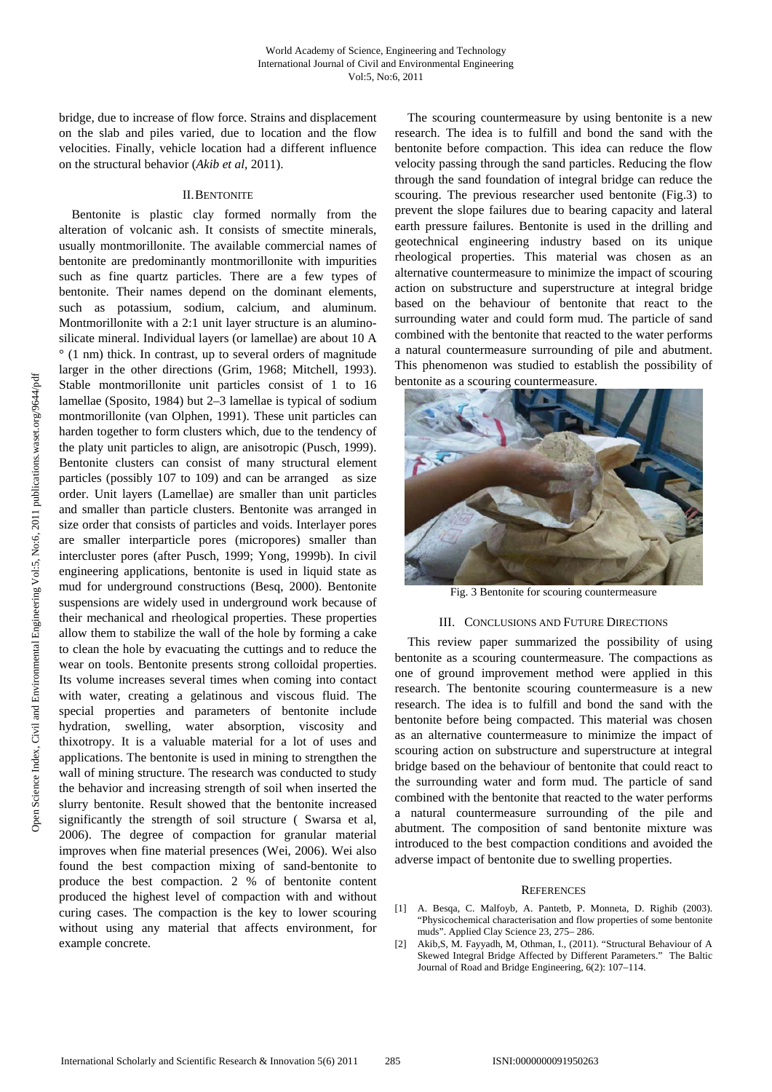bridge, due to increase of flow force. Strains and displacement on the slab and piles varied, due to location and the flow velocities. Finally, vehicle location had a different influence on the structural behavior (*Akib et al,* 2011).

#### II.BENTONITE

Bentonite is plastic clay formed normally from the alteration of volcanic ash. It consists of smectite minerals, usually montmorillonite. The available commercial names of bentonite are predominantly montmorillonite with impurities such as fine quartz particles. There are a few types of bentonite. Their names depend on the dominant elements, such as potassium, sodium, calcium, and aluminum. Montmorillonite with a 2:1 unit layer structure is an aluminosilicate mineral. Individual layers (or lamellae) are about 10 A ° (1 nm) thick. In contrast, up to several orders of magnitude larger in the other directions (Grim, 1968; Mitchell, 1993). Stable montmorillonite unit particles consist of 1 to 16 lamellae (Sposito, 1984) but 2–3 lamellae is typical of sodium montmorillonite (van Olphen, 1991). These unit particles can harden together to form clusters which, due to the tendency of the platy unit particles to align, are anisotropic (Pusch, 1999). Bentonite clusters can consist of many structural element particles (possibly 107 to 109) and can be arranged as size order. Unit layers (Lamellae) are smaller than unit particles and smaller than particle clusters. Bentonite was arranged in size order that consists of particles and voids. Interlayer pores are smaller interparticle pores (micropores) smaller than intercluster pores (after Pusch, 1999; Yong, 1999b). In civil engineering applications, bentonite is used in liquid state as mud for underground constructions (Besq, 2000). Bentonite suspensions are widely used in underground work because of their mechanical and rheological properties. These properties allow them to stabilize the wall of the hole by forming a cake to clean the hole by evacuating the cuttings and to reduce the wear on tools. Bentonite presents strong colloidal properties. Its volume increases several times when coming into contact with water, creating a gelatinous and viscous fluid. The special properties and parameters of bentonite include hydration, swelling, water absorption, viscosity and thixotropy. It is a valuable material for a lot of uses and applications. The bentonite is used in mining to strengthen the wall of mining structure. The research was conducted to study the behavior and increasing strength of soil when inserted the slurry bentonite. Result showed that the bentonite increased significantly the strength of soil structure ( Swarsa et al, 2006). The degree of compaction for granular material improves when fine material presences (Wei, 2006). Wei also found the best compaction mixing of sand-bentonite to produce the best compaction. 2 % of bentonite content produced the highest level of compaction with and without curing cases. The compaction is the key to lower scouring without using any material that affects environment, for example concrete.

The scouring countermeasure by using bentonite is a new research. The idea is to fulfill and bond the sand with the bentonite before compaction. This idea can reduce the flow velocity passing through the sand particles. Reducing the flow through the sand foundation of integral bridge can reduce the scouring. The previous researcher used bentonite (Fig.3) to prevent the slope failures due to bearing capacity and lateral earth pressure failures. Bentonite is used in the drilling and geotechnical engineering industry based on its unique rheological properties. This material was chosen as an alternative countermeasure to minimize the impact of scouring action on substructure and superstructure at integral bridge based on the behaviour of bentonite that react to the surrounding water and could form mud. The particle of sand combined with the bentonite that reacted to the water performs a natural countermeasure surrounding of pile and abutment. This phenomenon was studied to establish the possibility of bentonite as a scouring countermeasure.



Fig. 3 Bentonite for scouring countermeasure

## III. CONCLUSIONS AND FUTURE DIRECTIONS

This review paper summarized the possibility of using bentonite as a scouring countermeasure. The compactions as one of ground improvement method were applied in this research. The bentonite scouring countermeasure is a new research. The idea is to fulfill and bond the sand with the bentonite before being compacted. This material was chosen as an alternative countermeasure to minimize the impact of scouring action on substructure and superstructure at integral bridge based on the behaviour of bentonite that could react to the surrounding water and form mud. The particle of sand combined with the bentonite that reacted to the water performs a natural countermeasure surrounding of the pile and abutment. The composition of sand bentonite mixture was introduced to the best compaction conditions and avoided the adverse impact of bentonite due to swelling properties.

## **REFERENCES**

- [1] A. Besqa, C. Malfoyb, A. Pantetb, P. Monneta, D. Righib (2003). "Physicochemical characterisation and flow properties of some bentonite muds". Applied Clay Science 23, 275– 286.
- [2] Akib,S, M. Fayyadh, M, Othman, I., (2011). "Structural Behaviour of A Skewed Integral Bridge Affected by Different Parameters." The Baltic Journal of Road and Bridge Engineering, 6(2): 107–114.